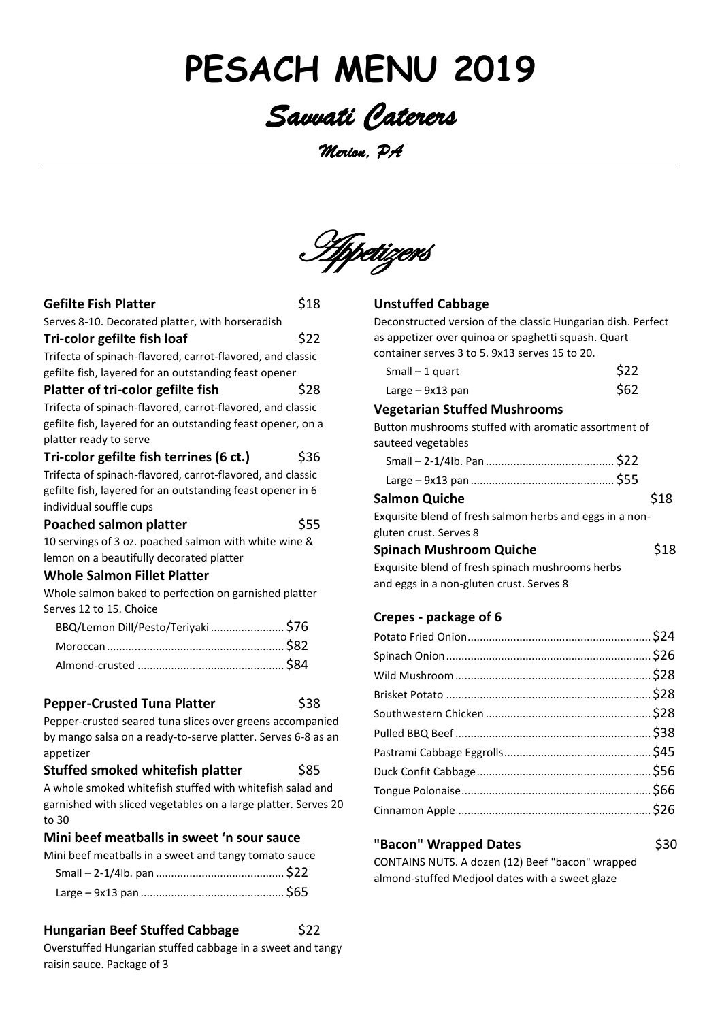# **PESACH MENU 2019**

## *Savvati Caterers*

*Merion, PA* 



| <b>Gefilte Fish Platter</b>                                  | \$18 |
|--------------------------------------------------------------|------|
| Serves 8-10. Decorated platter, with horseradish             |      |
| Tri-color gefilte fish loaf                                  | \$22 |
| Trifecta of spinach-flavored, carrot-flavored, and classic   |      |
| gefilte fish, layered for an outstanding feast opener        |      |
| Platter of tri-color gefilte fish                            | \$28 |
| Trifecta of spinach-flavored, carrot-flavored, and classic   |      |
| gefilte fish, layered for an outstanding feast opener, on a  |      |
| platter ready to serve                                       |      |
| Tri-color gefilte fish terrines (6 ct.)                      | \$36 |
| Trifecta of spinach-flavored, carrot-flavored, and classic   |      |
| gefilte fish, layered for an outstanding feast opener in 6   |      |
| individual souffle cups                                      |      |
| <b>Poached salmon platter</b>                                | \$55 |
| 10 servings of 3 oz. poached salmon with white wine &        |      |
| lemon on a beautifully decorated platter                     |      |
| Whole Salmon Fillet Platter                                  |      |
| Whole salmon baked to perfection on garnished platter        |      |
| Serves 12 to 15. Choice                                      |      |
| BBQ/Lemon Dill/Pesto/Teriyaki  \$76                          |      |
|                                                              |      |
|                                                              |      |
|                                                              |      |
| <b>Pepper-Crusted Tuna Platter</b>                           | \$38 |
| Pepper-crusted seared tuna slices over greens accompanied    |      |
| by mango salsa on a ready-to-serve platter. Serves 6-8 as an |      |
| appetizer                                                    |      |

**Stuffed smoked whitefish platter** \$85 A whole smoked whitefish stuffed with whitefish salad and garnished with sliced vegetables on a large platter. Serves 20 to 30

#### **Mini beef meatballs in sweet 'n sour sauce**

Mini beef meatballs in a sweet and tangy tomato sauce

#### **Hungarian Beef Stuffed Cabbage** \$22

Overstuffed Hungarian stuffed cabbage in a sweet and tangy raisin sauce. Package of 3

#### **Unstuffed Cabbage**

Deconstructed version of the classic Hungarian dish. Perfect as appetizer over quinoa or spaghetti squash. Quart container serves 3 to 5. 9x13 serves 15 to 20.

| Small $-1$ quart | \$22 |
|------------------|------|
| Large – 9x13 pan | \$62 |

#### **Vegetarian Stuffed Mushrooms**

Button mushrooms stuffed with aromatic assortment of sauteed vegetables

| <b>Salmon Quiche</b>                                     | \$18 |
|----------------------------------------------------------|------|
| Exquisite blend of fresh salmon herbs and eggs in a non- |      |

gluten crust. Serves 8 **Spinach Mushroom Quiche** \$18

Exquisite blend of fresh spinach mushrooms herbs and eggs in a non-gluten crust. Serves 8

#### **Crepes - package of 6**

#### **"Bacon" Wrapped Dates \$30** CONTAINS NUTS. A dozen (12) Beef "bacon" wrapped

almond-stuffed Medjool dates with a sweet glaze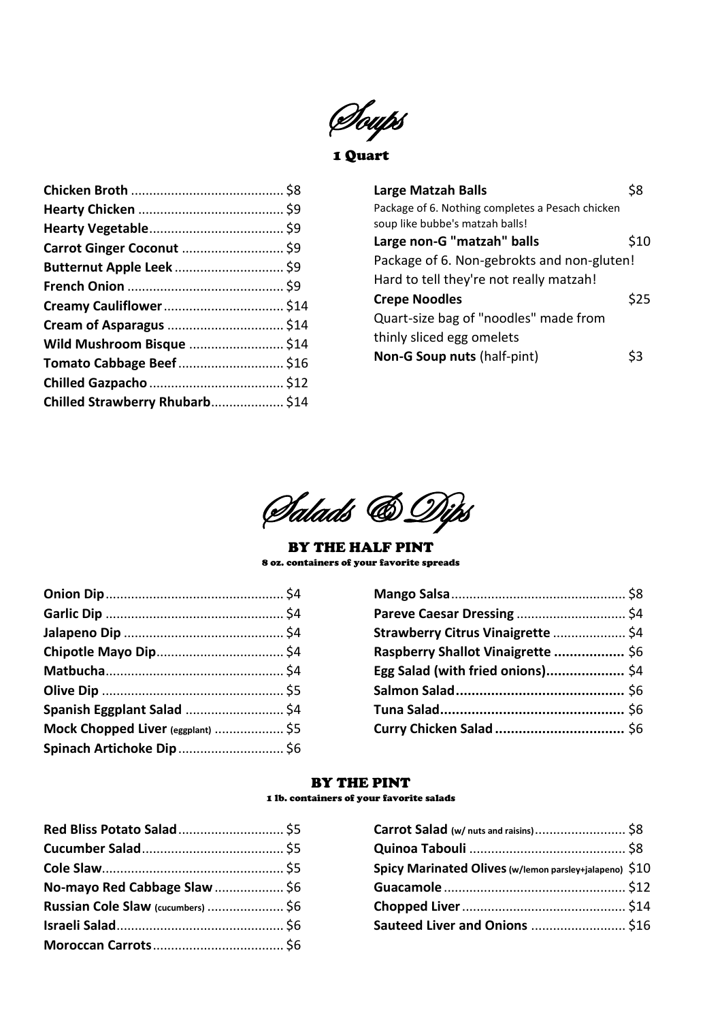Soups

1 Quart

| Wild Mushroom Bisque  \$14 |  |
|----------------------------|--|
|                            |  |
|                            |  |
|                            |  |
|                            |  |

| <b>Large Matzah Balls</b>                        |      |
|--------------------------------------------------|------|
| Package of 6. Nothing completes a Pesach chicken |      |
| soup like bubbe's matzah balls!                  |      |
| Large non-G "matzah" balls                       | \$10 |
| Package of 6. Non-gebrokts and non-gluten!       |      |
| Hard to tell they're not really matzah!          |      |
| <b>Crepe Noodles</b>                             | \$25 |
| Quart-size bag of "noodles" made from            |      |
| thinly sliced egg omelets                        |      |
| Non-G Soup nuts (half-pint)                      |      |
|                                                  |      |



#### BY THE HALF PINT 8 oz. containers of your favorite spreads

| Strawberry Citrus Vinaigrette  \$4 |
|------------------------------------|
| Raspberry Shallot Vinaigrette  \$6 |
| Egg Salad (with fried onions) \$4  |
|                                    |
|                                    |
|                                    |
|                                    |

#### BY THE PINT

#### 1 lb. containers of your favorite salads

| Red Bliss Potato Salad \$5         |  |
|------------------------------------|--|
|                                    |  |
|                                    |  |
| No-mayo Red Cabbage Slaw  \$6      |  |
| Russian Cole Slaw (cucumbers)  \$6 |  |
|                                    |  |
|                                    |  |

| Spicy Marinated Olives (w/lemon parsley+jalapeno) \$10 |  |
|--------------------------------------------------------|--|
|                                                        |  |
|                                                        |  |
| Sauteed Liver and Onions  \$16                         |  |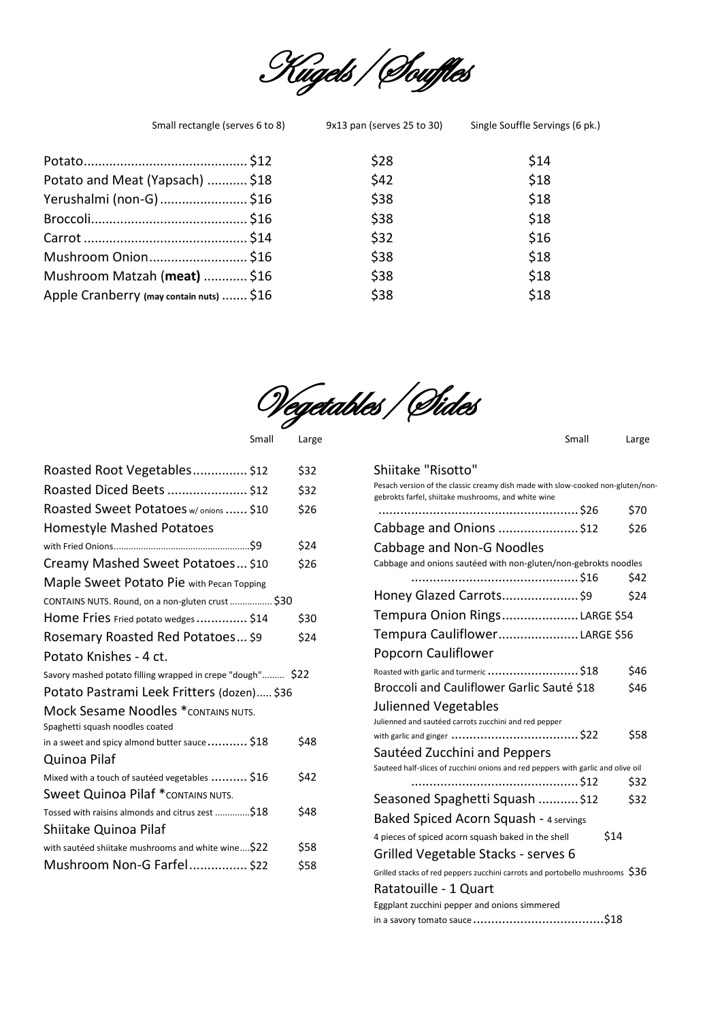

| Small rectangle (serves 6 to 8)          | 9x13 pan (serves 25 to 30) | Single Souffle Servings (6 pk.) |
|------------------------------------------|----------------------------|---------------------------------|
|                                          | \$28                       | \$14                            |
| Potato and Meat (Yapsach)  \$18          | \$42                       | \$18                            |
| Yerushalmi (non-G)  \$16                 | \$38                       | \$18                            |
|                                          | \$38                       | \$18                            |
|                                          | \$32                       | \$16                            |
| Mushroom Onion\$16                       | \$38                       | \$18                            |
| Mushroom Matzah (meat)  \$16             | \$38                       | \$18                            |
| Apple Cranberry (may contain nuts)  \$16 | \$38                       | \$18                            |

Vegetables/Sides

| Roasted Root Vegetables \$12                                                   | \$32 |
|--------------------------------------------------------------------------------|------|
| Roasted Diced Beets  \$12                                                      | \$32 |
| Roasted Sweet Potatoes w/ onions  \$10                                         | \$26 |
| <b>Homestyle Mashed Potatoes</b>                                               |      |
|                                                                                | \$24 |
| Creamy Mashed Sweet Potatoes \$10                                              | \$26 |
| Maple Sweet Potato Pie with Pecan Topping                                      |      |
| CONTAINS NUTS. Round, on a non-gluten crust  \$30                              |      |
| Home Fries Fried potato wedges  \$14                                           | \$30 |
| Rosemary Roasted Red Potatoes \$9                                              | \$24 |
| Potato Knishes - 4 ct.                                                         |      |
| Savory mashed potato filling wrapped in crepe "dough" \$22                     |      |
| Potato Pastrami Leek Fritters (dozen) \$36                                     |      |
|                                                                                |      |
| <b>Mock Sesame Noodles *</b> contains nuts.<br>Spaghetti squash noodles coated |      |
| in a sweet and spicy almond butter sauce $$ \$18                               | \$48 |
| Quinoa Pilaf                                                                   |      |
| Mixed with a touch of sautéed vegetables  \$16                                 | \$42 |
| <b>Sweet Quinoa Pilaf *</b> contains nuts.                                     |      |
| Tossed with raisins almonds and citrus zest \$18                               | \$48 |
| Shiitake Quinoa Pilaf                                                          |      |
| with sautéed shiitake mushrooms and white wine\$22                             | \$58 |

Small Large **Small** Large Small Large Small Large Small Large Small Large Small Large Small Large Small Large Small Large Small Large Small Large Small Large Small Large Small Large Small Large Small Large Small Large Smal

#### Shiitake "Risotto"

Pesach version of the classic creamy dish made with slow-cooked non-gluten/nongebrokts farfel, shiitake mushrooms, and white wine

| gebrokis rarrer, simtake musimoonis, and writte wine                             |      |
|----------------------------------------------------------------------------------|------|
|                                                                                  | \$70 |
| Cabbage and Onions \$12                                                          | \$26 |
| Cabbage and Non-G Noodles                                                        |      |
| Cabbage and onions sautéed with non-gluten/non-gebrokts noodles                  |      |
|                                                                                  | \$42 |
| Honey Glazed Carrots\$9                                                          | \$24 |
| Tempura Onion RingsLARGE \$54                                                    |      |
| Tempura CauliflowerLARGE \$56                                                    |      |
| Popcorn Cauliflower                                                              |      |
| Roasted with garlic and turmeric  \$18                                           | \$46 |
| Broccoli and Cauliflower Garlic Sauté \$18                                       | \$46 |
| <b>Julienned Vegetables</b>                                                      |      |
| Julienned and sautéed carrots zucchini and red pepper                            |      |
|                                                                                  | \$58 |
| Sautéed Zucchini and Peppers                                                     |      |
| Sauteed half-slices of zucchini onions and red peppers with garlic and olive oil |      |
|                                                                                  | \$32 |
| Seasoned Spaghetti Squash  \$12                                                  | \$32 |
| Baked Spiced Acorn Squash - 4 servings                                           |      |
| \$14<br>4 pieces of spiced acorn squash baked in the shell                       |      |
| Grilled Vegetable Stacks - serves 6                                              |      |
| Grilled stacks of red peppers zucchini carrots and portobello mushrooms $$36$    |      |
| Ratatouille - 1 Quart                                                            |      |
| Eggplant zucchini pepper and onions simmered                                     |      |
|                                                                                  |      |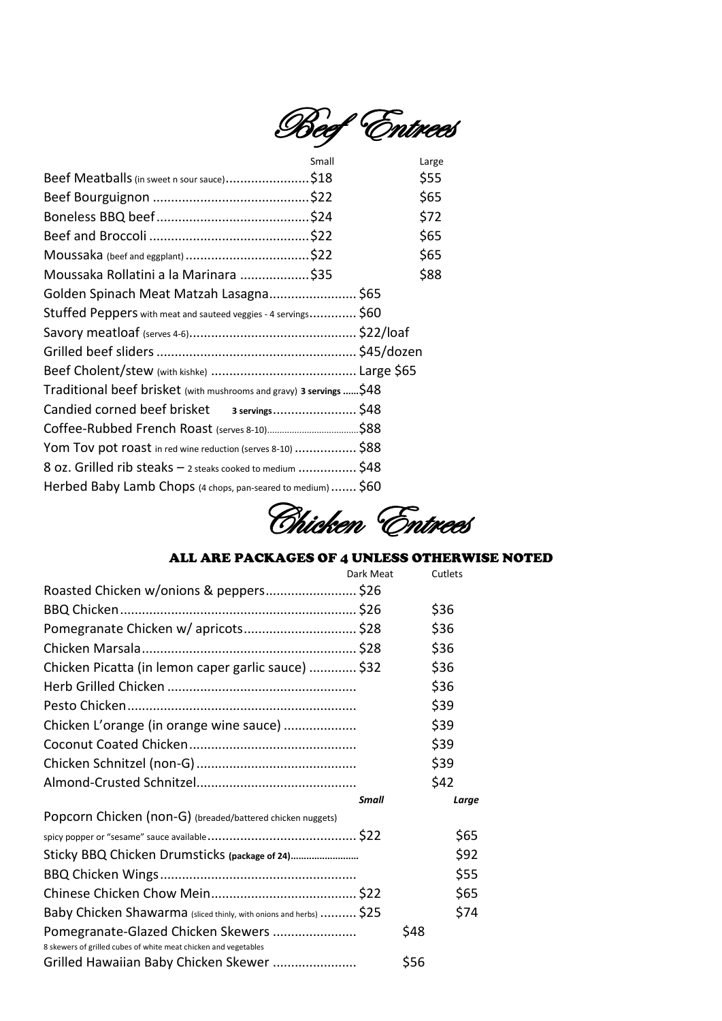

|                                                                      | Small | Large |
|----------------------------------------------------------------------|-------|-------|
| Beef Meatballs (in sweet n sour sauce)\$18                           |       | \$55  |
|                                                                      |       | \$65  |
|                                                                      |       | \$72  |
|                                                                      |       | \$65  |
|                                                                      |       | \$65  |
| Moussaka Rollatini a la Marinara \$35                                |       | \$88  |
| Golden Spinach Meat Matzah Lasagna \$65                              |       |       |
| Stuffed Peppers with meat and sauteed veggies - 4 servings \$60      |       |       |
|                                                                      |       |       |
|                                                                      |       |       |
|                                                                      |       |       |
| Traditional beef brisket (with mushrooms and gravy) 3 servings  \$48 |       |       |
|                                                                      |       |       |
|                                                                      |       |       |
| Yom Tov pot roast in red wine reduction (serves 8-10)  \$88          |       |       |
| 8 oz. Grilled rib steaks - 2 steaks cooked to medium  \$48           |       |       |
| Herbed Baby Lamb Chops (4 chops, pan-seared to medium)  \$60         |       |       |

Chicken Entrees

#### ALL ARE PACKAGES OF 4 UNLESS OTHERWISE NOTED

|                                                                    | Dark Meat |      | Cutlets |
|--------------------------------------------------------------------|-----------|------|---------|
|                                                                    |           |      |         |
|                                                                    |           |      | \$36    |
| Pomegranate Chicken w/ apricots \$28                               |           |      | \$36    |
|                                                                    |           |      | \$36    |
| Chicken Picatta (in lemon caper garlic sauce)  \$32                |           |      | \$36    |
|                                                                    |           |      | \$36    |
|                                                                    |           |      | \$39    |
| Chicken L'orange (in orange wine sauce)                            |           |      | \$39    |
|                                                                    |           |      | \$39    |
|                                                                    |           |      | \$39    |
|                                                                    |           |      | \$42    |
|                                                                    | Small     |      | Large   |
| Popcorn Chicken (non-G) (breaded/battered chicken nuggets)         |           |      |         |
|                                                                    |           |      | \$65    |
| Sticky BBQ Chicken Drumsticks (package of 24)                      |           |      | \$92    |
|                                                                    |           |      | \$55    |
|                                                                    |           |      | \$65    |
| Baby Chicken Shawarma (sliced thinly, with onions and herbs)  \$25 |           |      | \$74    |
| Pomegranate-Glazed Chicken Skewers                                 |           | \$48 |         |
| 8 skewers of grilled cubes of white meat chicken and vegetables    |           |      |         |
| Grilled Hawaiian Baby Chicken Skewer                               |           | \$56 |         |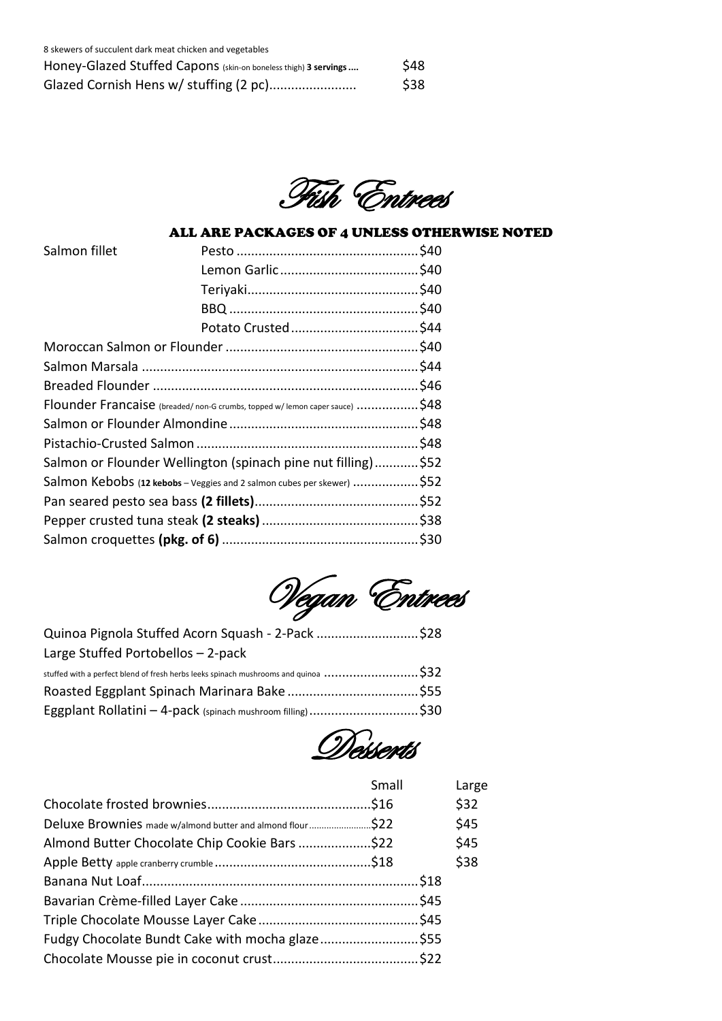| 8 skewers of succulent dark meat chicken and vegetables         |      |
|-----------------------------------------------------------------|------|
| Honey-Glazed Stuffed Capons (skin-on boneless thigh) 3 servings | \$48 |
| Glazed Cornish Hens w/ stuffing (2 pc)                          | \$38 |

Fish Entrees

#### ALL ARE PACKAGES OF 4 UNLESS OTHERWISE NOTED

| Flounder Francaise (breaded/non-G crumbs, topped w/ lemon caper sauce) \$48 |  |
|-----------------------------------------------------------------------------|--|
|                                                                             |  |
|                                                                             |  |
| Salmon or Flounder Wellington (spinach pine nut filling) \$52               |  |
| Salmon Kebobs (12 kebobs - Veggies and 2 salmon cubes per skewer) \$52      |  |
|                                                                             |  |
|                                                                             |  |
|                                                                             |  |
|                                                                             |  |

Vegan Entrees

| Quinoa Pignola Stuffed Acorn Squash - 2-Pack \$28                                                                     |  |
|-----------------------------------------------------------------------------------------------------------------------|--|
| Large Stuffed Portobellos - 2-pack                                                                                    |  |
| stuffed with a perfect blend of fresh herbs leeks spinach mushrooms and quinoa $\ldots\ldots\ldots\ldots\ldots\ldots$ |  |
|                                                                                                                       |  |
| Eggplant Rollatini - 4-pack (spinach mushroom filling) \$30                                                           |  |

Desserts

|                                                           | Small | Large |
|-----------------------------------------------------------|-------|-------|
|                                                           |       | \$32  |
| Deluxe Brownies made w/almond butter and almond flour\$22 |       | \$45  |
| Almond Butter Chocolate Chip Cookie Bars \$22             |       | \$45  |
|                                                           |       | \$38  |
|                                                           |       |       |
|                                                           |       |       |
|                                                           |       |       |
| Fudgy Chocolate Bundt Cake with mocha glaze\$55           |       |       |
|                                                           |       |       |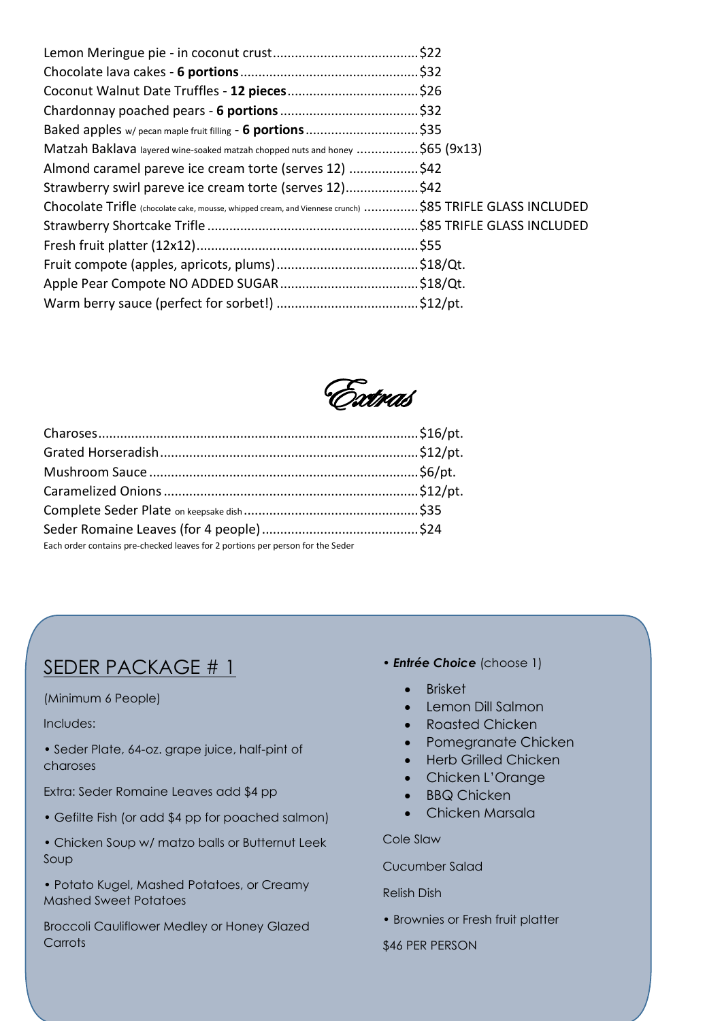| Matzah Baklava layered wine-soaked matzah chopped nuts and honey \$65 (9x13)                             |  |
|----------------------------------------------------------------------------------------------------------|--|
| Almond caramel pareve ice cream torte (serves 12) \$42                                                   |  |
| Strawberry swirl pareve ice cream torte (serves 12)\$42                                                  |  |
| Chocolate Trifle (chocolate cake, mousse, whipped cream, and Viennese crunch) \$85 TRIFLE GLASS INCLUDED |  |
|                                                                                                          |  |
|                                                                                                          |  |
|                                                                                                          |  |
|                                                                                                          |  |
|                                                                                                          |  |

Extras

| Each order contains pre-checked leaves for 2 portions per person for the Seder |  |
|--------------------------------------------------------------------------------|--|

### SEDER PACKAGE # 1

#### (Minimum 6 People)

#### Includes:

• Seder Plate, 64-oz. grape juice, half-pint of charoses

Extra: Seder Romaine Leaves add \$4 pp

- Gefilte Fish (or add \$4 pp for poached salmon)
- Chicken Soup w/ matzo balls or Butternut Leek Soup
- Potato Kugel, Mashed Potatoes, or Creamy Mashed Sweet Potatoes

Broccoli Cauliflower Medley or Honey Glazed **Carrots** 

- *Entrée Choice* (choose 1)
	- Brisket
	- Lemon Dill Salmon
	- Roasted Chicken
	- Pomegranate Chicken
	- Herb Grilled Chicken
	- Chicken L'Orange
	- **BBQ Chicken**
	- Chicken Marsala

Cole Slaw

Cucumber Salad

Relish Dish

• Brownies or Fresh fruit platter

\$46 PER PERSON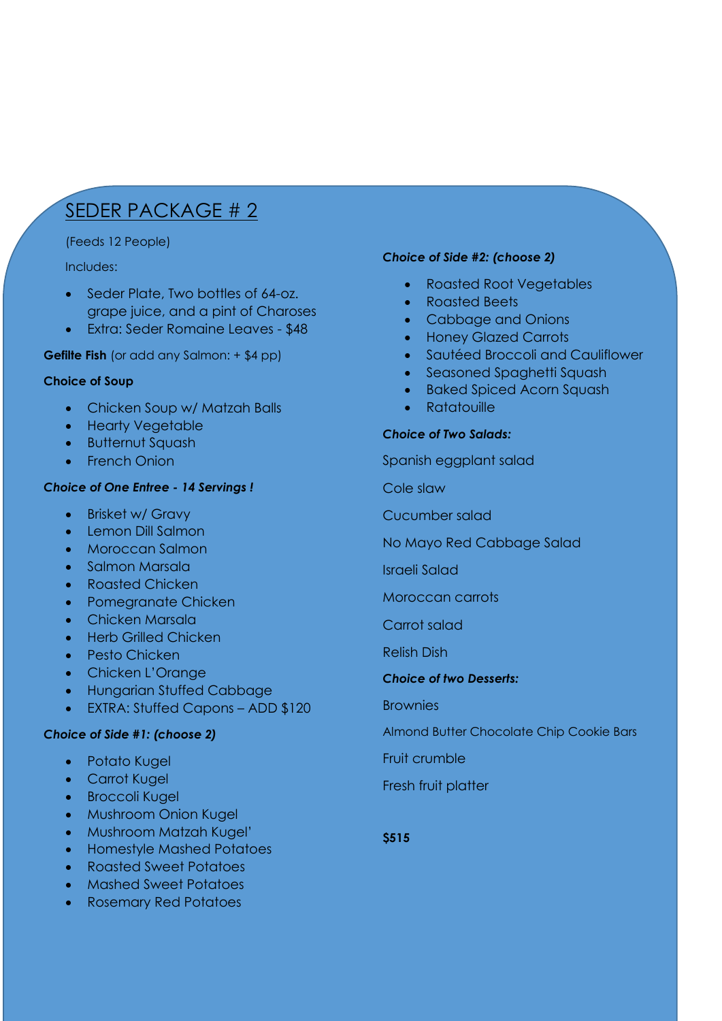## SEDER PACKAGE # 2

#### (Feeds 12 People)

#### Includes:

- Seder Plate, Two bottles of 64-oz. grape juice, and a pint of Charoses
- Extra: Seder Romaine Leaves \$48

#### **Gefilte Fish** (or add any Salmon: + \$4 pp)

#### **Choice of Soup**

- Chicken Soup w/ Matzah Balls
- Hearty Vegetable
- Butternut Squash
- French Onion

#### *Choice of One Entree - 14 Servings !*

- Brisket w/ Gravy
- Lemon Dill Salmon
- Moroccan Salmon
- Salmon Marsala
- Roasted Chicken
- Pomegranate Chicken
- Chicken Marsala
- Herb Grilled Chicken
- Pesto Chicken
- Chicken L'Orange
- Hungarian Stuffed Cabbage
- EXTRA: Stuffed Capons ADD \$120

#### *Choice of Side #1: (choose 2)*

- Potato Kugel
- Carrot Kugel
- Broccoli Kugel
- Mushroom Onion Kugel
- Mushroom Matzah Kugel'
- Homestyle Mashed Potatoes
- Roasted Sweet Potatoes
- Mashed Sweet Potatoes
- Rosemary Red Potatoes

#### *Choice of Side #2: (choose 2)*

- Roasted Root Vegetables
- Roasted Beets
- Cabbage and Onions
- Honey Glazed Carrots
- Sautéed Broccoli and Cauliflower
- Seasoned Spaghetti Squash
- Baked Spiced Acorn Squash
- Ratatouille

#### *Choice of Two Salads:*

Spanish eggplant salad

Cole slaw

Cucumber salad

No Mayo Red Cabbage Salad

Israeli Salad

Moroccan carrots

Carrot salad

Relish Dish

#### *Choice of two Desserts:*

**Brownies** 

Almond Butter Chocolate Chip Cookie Bars

Fruit crumble

Fresh fruit platter

**\$515**